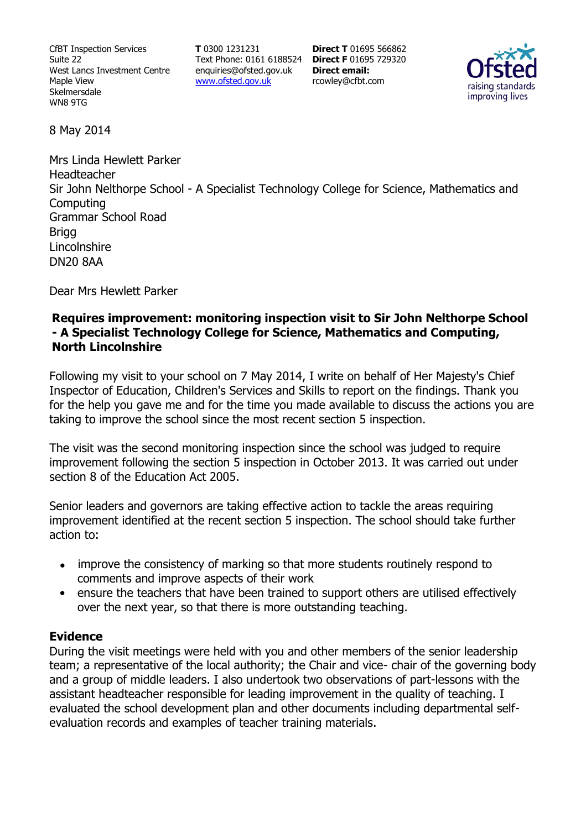CfBT Inspection Services Suite 22 West Lancs Investment Centre Maple View Skelmersdale WN8 9TG

**T** 0300 1231231 Text Phone: 0161 6188524 **Direct F** 01695 729320 enquiries@ofsted.gov.uk www.ofsted.gov.uk

**Direct T** 01695 566862 **Direct email:**  rcowley@cfbt.com



8 May 2014

Mrs Linda Hewlett Parker Headteacher Sir John Nelthorpe School - A Specialist Technology College for Science, Mathematics and **Computing** Grammar School Road **Brigg** Lincolnshire DN20 8AA

Dear Mrs Hewlett Parker

### **Requires improvement: monitoring inspection visit to Sir John Nelthorpe School - A Specialist Technology College for Science, Mathematics and Computing, North Lincolnshire**

Following my visit to your school on 7 May 2014, I write on behalf of Her Majesty's Chief Inspector of Education, Children's Services and Skills to report on the findings. Thank you for the help you gave me and for the time you made available to discuss the actions you are taking to improve the school since the most recent section 5 inspection.

The visit was the second monitoring inspection since the school was judged to require improvement following the section 5 inspection in October 2013. It was carried out under section 8 of the Education Act 2005.

Senior leaders and governors are taking effective action to tackle the areas requiring improvement identified at the recent section 5 inspection. The school should take further action to:

- improve the consistency of marking so that more students routinely respond to comments and improve aspects of their work
- ensure the teachers that have been trained to support others are utilised effectively over the next year, so that there is more outstanding teaching.

### **Evidence**

During the visit meetings were held with you and other members of the senior leadership team; a representative of the local authority; the Chair and vice- chair of the governing body and a group of middle leaders. I also undertook two observations of part-lessons with the assistant headteacher responsible for leading improvement in the quality of teaching. I evaluated the school development plan and other documents including departmental selfevaluation records and examples of teacher training materials.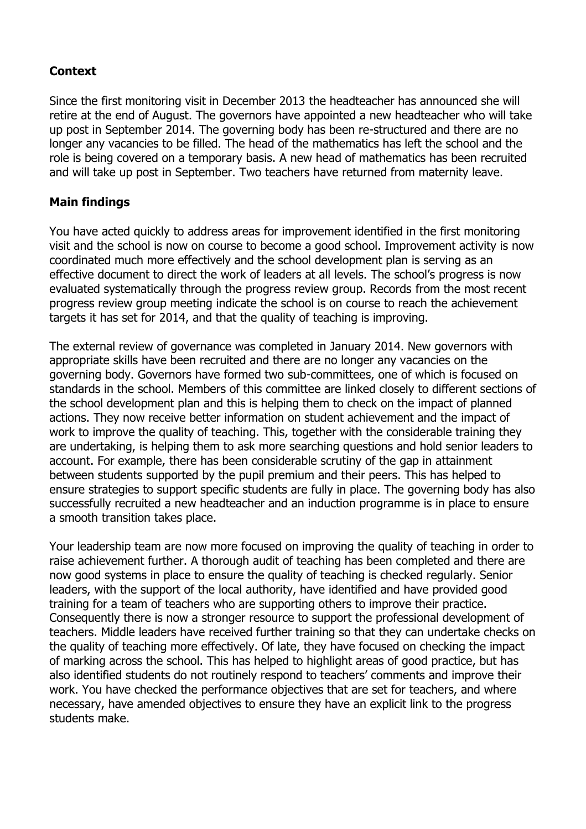## **Context**

Since the first monitoring visit in December 2013 the headteacher has announced she will retire at the end of August. The governors have appointed a new headteacher who will take up post in September 2014. The governing body has been re-structured and there are no longer any vacancies to be filled. The head of the mathematics has left the school and the role is being covered on a temporary basis. A new head of mathematics has been recruited and will take up post in September. Two teachers have returned from maternity leave.

### **Main findings**

You have acted quickly to address areas for improvement identified in the first monitoring visit and the school is now on course to become a good school. Improvement activity is now coordinated much more effectively and the school development plan is serving as an effective document to direct the work of leaders at all levels. The school's progress is now evaluated systematically through the progress review group. Records from the most recent progress review group meeting indicate the school is on course to reach the achievement targets it has set for 2014, and that the quality of teaching is improving.

The external review of governance was completed in January 2014. New governors with appropriate skills have been recruited and there are no longer any vacancies on the governing body. Governors have formed two sub-committees, one of which is focused on standards in the school. Members of this committee are linked closely to different sections of the school development plan and this is helping them to check on the impact of planned actions. They now receive better information on student achievement and the impact of work to improve the quality of teaching. This, together with the considerable training they are undertaking, is helping them to ask more searching questions and hold senior leaders to account. For example, there has been considerable scrutiny of the gap in attainment between students supported by the pupil premium and their peers. This has helped to ensure strategies to support specific students are fully in place. The governing body has also successfully recruited a new headteacher and an induction programme is in place to ensure a smooth transition takes place.

Your leadership team are now more focused on improving the quality of teaching in order to raise achievement further. A thorough audit of teaching has been completed and there are now good systems in place to ensure the quality of teaching is checked regularly. Senior leaders, with the support of the local authority, have identified and have provided good training for a team of teachers who are supporting others to improve their practice. Consequently there is now a stronger resource to support the professional development of teachers. Middle leaders have received further training so that they can undertake checks on the quality of teaching more effectively. Of late, they have focused on checking the impact of marking across the school. This has helped to highlight areas of good practice, but has also identified students do not routinely respond to teachers' comments and improve their work. You have checked the performance objectives that are set for teachers, and where necessary, have amended objectives to ensure they have an explicit link to the progress students make.